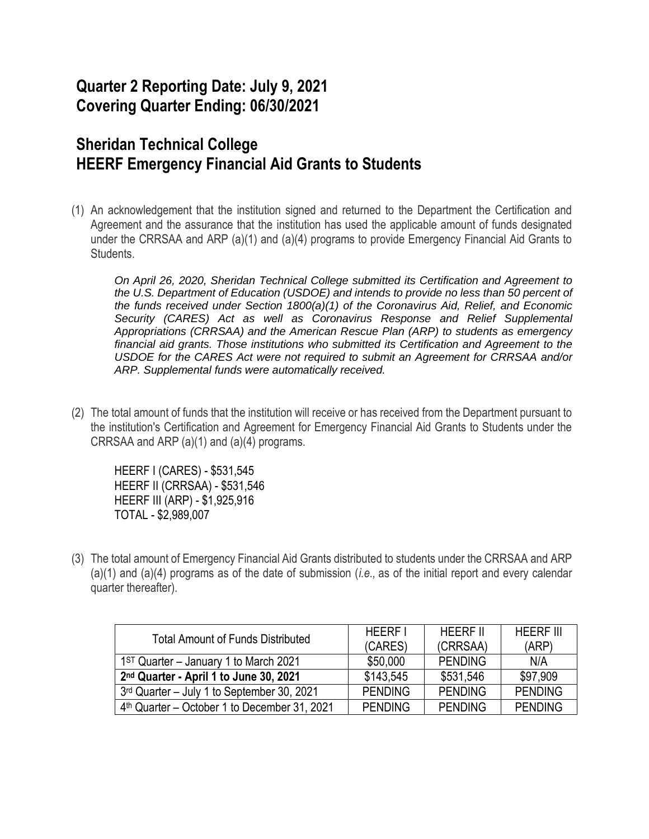## **Quarter 2 Reporting Date: July 9, 2021 Covering Quarter Ending: 06/30/2021**

## **Sheridan Technical College HEERF Emergency Financial Aid Grants to Students**

(1) An acknowledgement that the institution signed and returned to the Department the Certification and Agreement and the assurance that the institution has used the applicable amount of funds designated under the CRRSAA and ARP (a)(1) and (a)(4) programs to provide Emergency Financial Aid Grants to Students.

*On April 26, 2020, Sheridan Technical College submitted its Certification and Agreement to the U.S. Department of Education (USDOE) and intends to provide no less than 50 percent of the funds received under Section 1800(a)(1) of the Coronavirus Aid, Relief, and Economic Security (CARES) Act as well as Coronavirus Response and Relief Supplemental Appropriations (CRRSAA) and the American Rescue Plan (ARP) to students as emergency financial aid grants. Those institutions who submitted its Certification and Agreement to the USDOE for the CARES Act were not required to submit an Agreement for CRRSAA and/or ARP. Supplemental funds were automatically received.*

(2) The total amount of funds that the institution will receive or has received from the Department pursuant to the institution's Certification and Agreement for Emergency Financial Aid Grants to Students under the CRRSAA and ARP (a)(1) and (a)(4) programs.

HEERF I (CARES) - \$531,545 HEERF II (CRRSAA) - \$531,546 HEERF III (ARP) - \$1,925,916 TOTAL - \$2,989,007

(3) The total amount of Emergency Financial Aid Grants distributed to students under the CRRSAA and ARP (a)(1) and (a)(4) programs as of the date of submission (*i.e.,* as of the initial report and every calendar quarter thereafter).

| <b>Total Amount of Funds Distributed</b>       | <b>HEERF I</b> | <b>HEERF II</b> | <b>HEERF III</b> |
|------------------------------------------------|----------------|-----------------|------------------|
|                                                | (CARES)        | (CRRSAA)        | (ARP)            |
| $1ST$ Quarter – January 1 to March 2021        | \$50,000       | <b>PENDING</b>  | N/A              |
| 2nd Quarter - April 1 to June 30, 2021         | \$143,545      | \$531,546       | \$97,909         |
| 3rd Quarter - July 1 to September 30, 2021     | <b>PENDING</b> | <b>PENDING</b>  | <b>PENDING</b>   |
| $4th$ Quarter – October 1 to December 31, 2021 | <b>PENDING</b> | <b>PENDING</b>  | <b>PENDING</b>   |